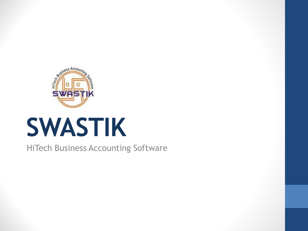

# **SWASTIK**

HiTech Business Accounting Software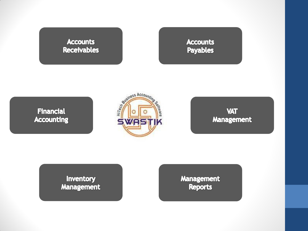#### **Accounts Receivables**

**Accounts Payables** 





**VAT Management** 

Inventory **Management**  **Management Reports**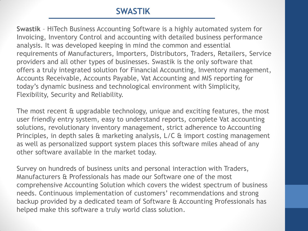# **SWASTIK**

**Swastik** – HiTech Business Accounting Software is a highly automated system for Invoicing, Inventory Control and accounting with detailed business performance analysis. It was developed keeping in mind the common and essential requirements of Manufacturers, Importers, Distributors, Traders, Retailers, Service providers and all other types of businesses. Swastik is the only software that offers a truly integrated solution for Financial Accounting, Inventory management, Accounts Receivable, Accounts Payable, Vat Accounting and MIS reporting for today's dynamic business and technological environment with Simplicity, Flexibility, Security and Reliability.

The most recent & upgradable technology, unique and exciting features, the most user friendly entry system, easy to understand reports, complete Vat accounting solutions, revolutionary inventory management, strict adherence to Accounting Principles, in depth sales & marketing analysis, L/C & import costing management as well as personalized support system places this software miles ahead of any other software available in the market today.

Survey on hundreds of business units and personal interaction with Traders, Manufacturers & Professionals has made our Software one of the most comprehensive Accounting Solution which covers the widest spectrum of business needs. Continuous implementation of customers' recommendations and strong backup provided by a dedicated team of Software & Accounting Professionals has helped make this software a truly world class solution.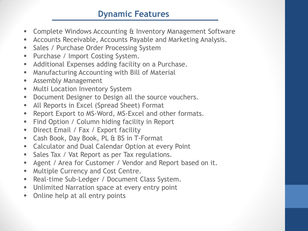# **Dynamic Features**

- Complete Windows Accounting & Inventory Management Software
- Accounts Receivable, Accounts Payable and Marketing Analysis.
- **Sales / Purchase Order Processing System**
- **Purchase / Import Costing System.**
- **Additional Expenses adding facility on a Purchase.**
- Manufacturing Accounting with Bill of Material
- **Assembly Management**
- **Multi Location Inventory System**
- **Document Designer to Design all the source vouchers.**
- **All Reports in Excel (Spread Sheet) Format**
- **Report Export to MS-Word, MS-Excel and other formats.**
- **Find Option / Column hiding facility in Report**
- **Direct Email / Fax / Export facility**
- Cash Book, Day Book, PL & BS in T-Format
- **EXEC** Calculator and Dual Calendar Option at every Point
- **Sales Tax / Vat Report as per Tax regulations.**
- **Agent / Area for Customer / Vendor and Report based on it.**
- **Multiple Currency and Cost Centre.**
- **Real-time Sub-Ledger / Document Class System.**
- **Unlimited Narration space at every entry point**
- Online help at all entry points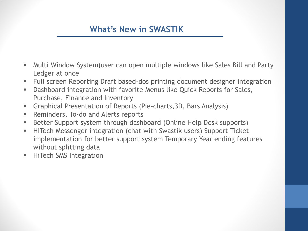# **What's New in SWASTIK**

- Multi Window System(user can open multiple windows like Sales Bill and Party Ledger at once
- Full screen Reporting Draft based-dos printing document designer integration
- Dashboard integration with favorite Menus like Quick Reports for Sales, Purchase, Finance and Inventory
- Graphical Presentation of Reports (Pie-charts,3D, Bars Analysis)
- **Reminders, To-do and Alerts reports**
- Better Support system through dashboard (Online Help Desk supports)
- **HiTech Messenger integration (chat with Swastik users) Support Ticket** implementation for better support system Temporary Year ending features without splitting data
- **HiTech SMS Integration**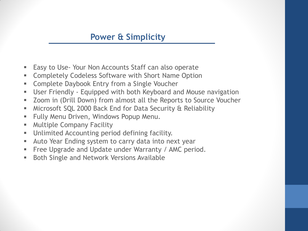#### **Power & Simplicity**

- **Easy to Use- Your Non Accounts Staff can also operate**
- **EXECOMPLERIES Codeless Software with Short Name Option**
- **EXED** Complete Daybook Entry from a Single Voucher
- User Friendly Equipped with both Keyboard and Mouse navigation
- Zoom in (Drill Down) from almost all the Reports to Source Voucher
- Microsoft SQL 2000 Back End for Data Security & Reliability
- **Fully Menu Driven, Windows Popup Menu.**
- **Multiple Company Facility**
- **Unlimited Accounting period defining facility.**
- **Auto Year Ending system to carry data into next year**
- **Filter Example 20 Figure 1** Free Upgrade and Update under Warranty / AMC period.
- **Both Single and Network Versions Available**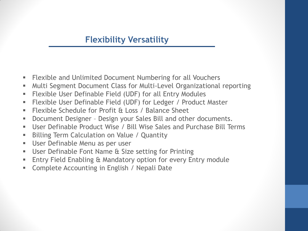#### **Flexibility Versatility**

- Flexible and Unlimited Document Numbering for all Vouchers
- Multi Segment Document Class for Multi-Level Organizational reporting
- Flexible User Definable Field (UDF) for all Entry Modules
- Flexible User Definable Field (UDF) for Ledger / Product Master
- Flexible Schedule for Profit & Loss / Balance Sheet
- Document Designer Design your Sales Bill and other documents.
- User Definable Product Wise / Bill Wise Sales and Purchase Bill Terms
- **Billing Term Calculation on Value / Quantity**
- User Definable Menu as per user
- User Definable Font Name & Size setting for Printing
- **Entry Field Enabling & Mandatory option for every Entry module**
- **Complete Accounting in English / Nepali Date**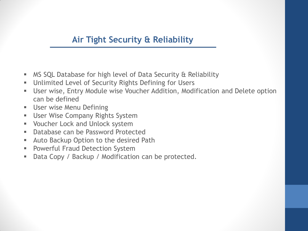#### **Air Tight Security & Reliability**

- MS SQL Database for high level of Data Security & Reliability
- Unlimited Level of Security Rights Defining for Users
- User wise, Entry Module wise Voucher Addition, Modification and Delete option can be defined
- **User wise Menu Defining**
- **User Wise Company Rights System**
- **Voucher Lock and Unlock system**
- **Database can be Password Protected**
- **Auto Backup Option to the desired Path**
- **Powerful Fraud Detection System**
- Data Copy / Backup / Modification can be protected.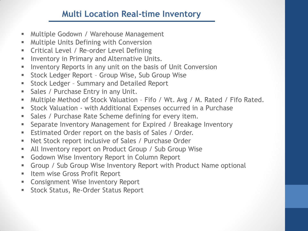# **Multi Location Real-time Inventory**

- **Multiple Godown / Warehouse Management**
- **Multiple Units Defining with Conversion**
- **EXECT:** Critical Level / Re-order Level Defining
- **Inventory in Primary and Alternative Units.**
- **Inventory Reports in any unit on the basis of Unit Conversion**
- **Stock Ledger Report Group Wise, Sub Group Wise**
- **Stock Ledger Summary and Detailed Report**
- Sales / Purchase Entry in any Unit.
- **Multiple Method of Stock Valuation Fifo / Wt. Avg / M. Rated / Fifo Rated.**
- Stock Valuation with Additional Expenses occurred in a Purchase
- **Sales / Purchase Rate Scheme defining for every item.**
- **Separate Inventory Management for Expired / Breakage Inventory**
- **Estimated Order report on the basis of Sales / Order.**
- Net Stock report inclusive of Sales / Purchase Order
- All Inventory report on Product Group / Sub Group Wise
- **Godown Wise Inventory Report in Column Report**
- Group / Sub Group Wise Inventory Report with Product Name optional
- **Item wise Gross Profit Report**
- **EX Consignment Wise Inventory Report**
- **Stock Status, Re-Order Status Report**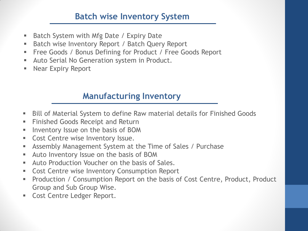# **Batch wise Inventory System**

- Batch System with Mfg Date / Expiry Date
- Batch wise Inventory Report / Batch Query Report
- **Free Goods / Bonus Defining for Product / Free Goods Report**
- **Auto Serial No Generation system in Product.**
- **Near Expiry Report**

# **Manufacturing Inventory**

- Bill of Material System to define Raw material details for Finished Goods
- **Finished Goods Receipt and Return**
- **Inventory Issue on the basis of BOM**
- **Cost Centre wise Inventory Issue.**
- Assembly Management System at the Time of Sales / Purchase
- **Auto Inventory Issue on the basis of BOM**
- **Auto Production Voucher on the basis of Sales.**
- **Cost Centre wise Inventory Consumption Report**
- Production / Consumption Report on the basis of Cost Centre, Product, Product Group and Sub Group Wise.
- **Cost Centre Ledger Report.**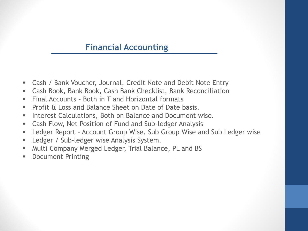#### **Financial Accounting**

- Cash / Bank Voucher, Journal, Credit Note and Debit Note Entry
- Cash Book, Bank Book, Cash Bank Checklist, Bank Reconciliation
- Final Accounts Both in  $T$  and Horizontal formats
- **Profit & Loss and Balance Sheet on Date of Date basis.**
- **Interest Calculations, Both on Balance and Document wise.**
- Cash Flow, Net Position of Fund and Sub-ledger Analysis
- Ledger Report Account Group Wise, Sub Group Wise and Sub Ledger wise
- **Ledger / Sub-ledger wise Analysis System.**
- **Multi Company Merged Ledger, Trial Balance, PL and BS**
- **Document Printing**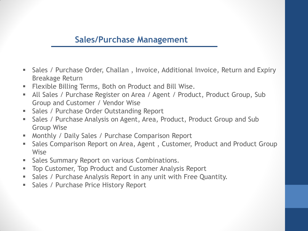#### **Sales/Purchase Management**

- Sales / Purchase Order, Challan , Invoice, Additional Invoice, Return and Expiry Breakage Return
- Flexible Billing Terms, Both on Product and Bill Wise.
- **All Sales / Purchase Register on Area / Agent / Product, Product Group, Sub** Group and Customer / Vendor Wise
- **Sales / Purchase Order Outstanding Report**
- **Sales / Purchase Analysis on Agent, Area, Product, Product Group and Sub** Group Wise
- **Monthly / Daily Sales / Purchase Comparison Report**
- **Sales Comparison Report on Area, Agent, Customer, Product and Product Group** Wise
- **Sales Summary Report on various Combinations.**
- **Top Customer, Top Product and Customer Analysis Report**
- **Sales / Purchase Analysis Report in any unit with Free Quantity.**
- **Sales / Purchase Price History Report**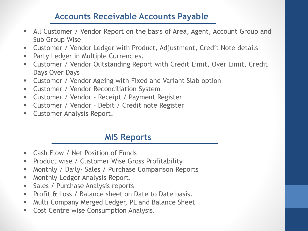#### **Accounts Receivable Accounts Payable**

- All Customer / Vendor Report on the basis of Area, Agent, Account Group and Sub Group Wise
- Customer / Vendor Ledger with Product, Adjustment, Credit Note details
- **Party Ledger in Multiple Currencies.**
- Customer / Vendor Outstanding Report with Credit Limit, Over Limit, Credit Days Over Days
- Customer / Vendor Ageing with Fixed and Variant Slab option
- **EXECUSTOMER / Vendor Reconciliation System**
- Customer / Vendor Receipt / Payment Register
- Customer / Vendor Debit / Credit note Register
- **EXECUTE:** Customer Analysis Report.

#### **MIS Reports**

- **EXEC** Cash Flow / Net Position of Funds
- **Product wise / Customer Wise Gross Profitability.**
- **Monthly / Daily- Sales / Purchase Comparison Reports**
- **Monthly Ledger Analysis Report.**
- **Sales / Purchase Analysis reports**
- **Profit & Loss / Balance sheet on Date to Date basis.**
- **Multi Company Merged Ledger, PL and Balance Sheet**
- **Cost Centre wise Consumption Analysis.**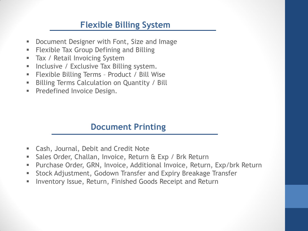# **Flexible Billing System**

- **Document Designer with Font, Size and Image**
- **Flexible Tax Group Defining and Billing**
- **Tax / Retail Invoicing System**
- **Inclusive / Exclusive Tax Billing system.**
- Flexible Billing Terms Product / Bill Wise
- **Billing Terms Calculation on Quantity / Bill**
- **Predefined Invoice Design.**

#### **Document Printing**

- Cash, Journal, Debit and Credit Note
- **Sales Order, Challan, Invoice, Return & Exp / Brk Return**
- Purchase Order, GRN, Invoice, Additional Invoice, Return, Exp/brk Return
- **Stock Adjustment, Godown Transfer and Expiry Breakage Transfer**
- **Inventory Issue, Return, Finished Goods Receipt and Return**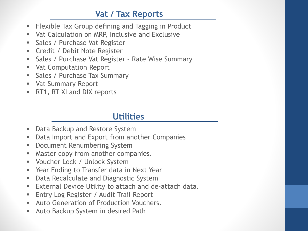# **Vat / Tax Reports**

- Flexible Tax Group defining and Tagging in Product
- **Vat Calculation on MRP, Inclusive and Exclusive**
- **Sales / Purchase Vat Register**
- **EXEC** Credit / Debit Note Register
- **Sales / Purchase Vat Register Rate Wise Summary**
- **Vat Computation Report**
- **Sales / Purchase Tax Summary**
- **Vat Summary Report**
- **RT1, RT XI and DIX reports**

# **Utilities**

- **Data Backup and Restore System**
- **Data Import and Export from another Companies**
- **-** Document Renumbering System
- **Master copy from another companies.**
- Voucher Lock / Unlock System
- Year Ending to Transfer data in Next Year
- **Data Recalculate and Diagnostic System**
- **External Device Utility to attach and de-attach data.**
- **Entry Log Register / Audit Trail Report**
- **Auto Generation of Production Vouchers.**
- Auto Backup System in desired Path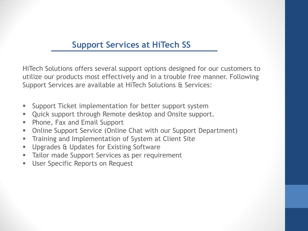# **Support Services at HiTech SS**

HiTech Solutions offers several support options designed for our customers to utilize our products most effectively and in a trouble free manner. Following Support Services are available at HiTech Solutions & Services:

- **Support Ticket implementation for better support system**
- Quick support through Remote desktop and Onsite support.
- **Phone, Fax and Email Support**
- Online Support Service (Online Chat with our Support Department)
- **The Training and Implementation of System at Client Site**
- **Upgrades & Updates for Existing Software**
- **Tailor made Support Services as per requirement**
- **User Specific Reports on Request**